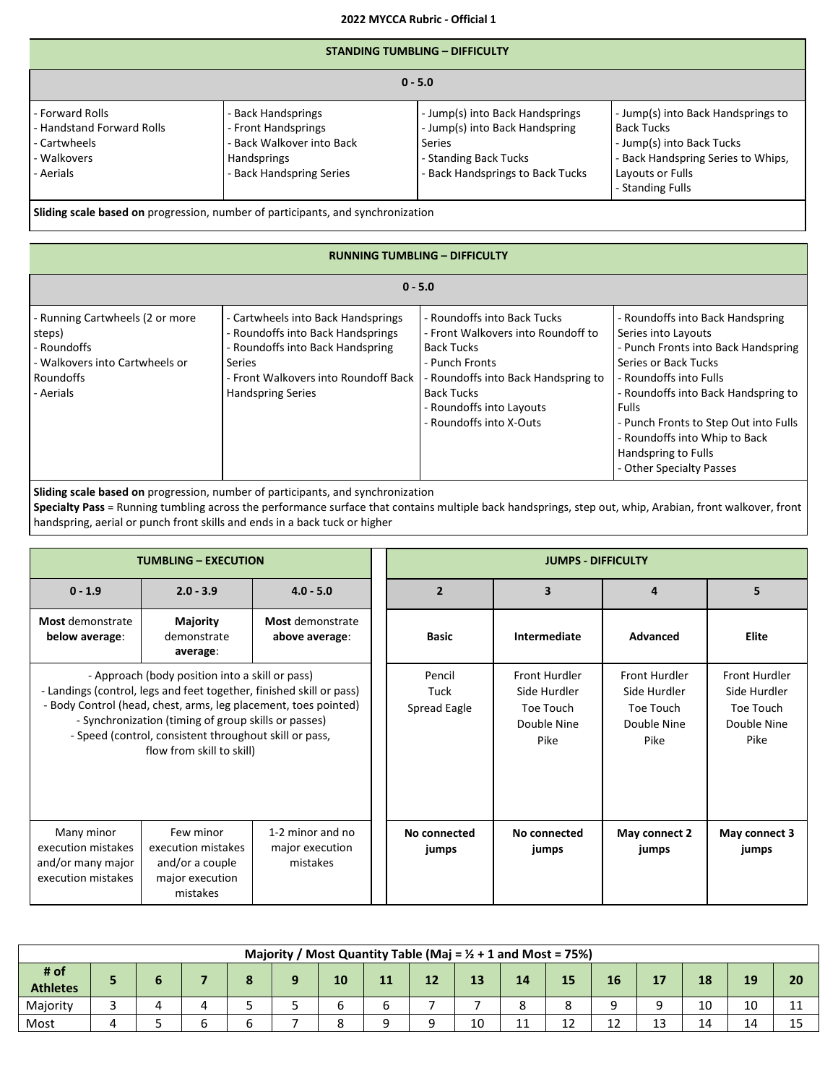| <b>STANDING TUMBLING - DIFFICULTY</b>                                                    |                                                                                                                          |                                                                                                                                          |                                                                                                                                                                    |  |  |  |
|------------------------------------------------------------------------------------------|--------------------------------------------------------------------------------------------------------------------------|------------------------------------------------------------------------------------------------------------------------------------------|--------------------------------------------------------------------------------------------------------------------------------------------------------------------|--|--|--|
| $0 - 5.0$                                                                                |                                                                                                                          |                                                                                                                                          |                                                                                                                                                                    |  |  |  |
| - Forward Rolls<br>- Handstand Forward Rolls<br>- Cartwheels<br>- Walkovers<br>- Aerials | - Back Handsprings<br>- Front Handsprings<br>- Back Walkover into Back<br><b>Handsprings</b><br>- Back Handspring Series | - Jump(s) into Back Handsprings<br>- Jump(s) into Back Handspring<br>Series<br>- Standing Back Tucks<br>- Back Handsprings to Back Tucks | - Jump(s) into Back Handsprings to<br><b>Back Tucks</b><br>- Jump(s) into Back Tucks<br>- Back Handspring Series to Whips,<br>Layouts or Fulls<br>- Standing Fulls |  |  |  |
|                                                                                          | <b>Sliding scale based on</b> progression, number of participants, and synchronization                                   |                                                                                                                                          |                                                                                                                                                                    |  |  |  |

**RUNNING TUMBLING – DIFFICULTY 0 - 5.0** - Running Cartwheels (2 or more steps) - Roundoffs - Walkovers into Cartwheels or Roundoffs - Aerials - Cartwheels into Back Handsprings - Roundoffs into Back Handsprings - Roundoffs into Back Handspring Series - Front Walkovers into Roundoff Back Handspring Series - Roundoffs into Back Tucks - Front Walkovers into Roundoff to Back Tucks - Punch Fronts - Roundoffs into Back Handspring to Back Tucks - Roundoffs into Layouts - Roundoffs into X-Outs - Roundoffs into Back Handspring Series into Layouts - Punch Fronts into Back Handspring Series or Back Tucks - Roundoffs into Fulls - Roundoffs into Back Handspring to Fulls - Punch Fronts to Step Out into Fulls - Roundoffs into Whip to Back Handspring to Fulls - Other Specialty Passes

**Sliding scale based on** progression, number of participants, and synchronization

**Specialty Pass** = Running tumbling across the performance surface that contains multiple back handsprings, step out, whip, Arabian, front walkover, front handspring, aerial or punch front skills and ends in a back tuck or higher

|                                                                                                                                                                                                                     | <b>TUMBLING - EXECUTION</b>                                                                                                                                                                                                                                                                                                               |                       |                                | <b>JUMPS - DIFFICULTY</b>                                         |                                                                          |                                                                          |
|---------------------------------------------------------------------------------------------------------------------------------------------------------------------------------------------------------------------|-------------------------------------------------------------------------------------------------------------------------------------------------------------------------------------------------------------------------------------------------------------------------------------------------------------------------------------------|-----------------------|--------------------------------|-------------------------------------------------------------------|--------------------------------------------------------------------------|--------------------------------------------------------------------------|
| $0 - 1.9$                                                                                                                                                                                                           | $2.0 - 3.9$                                                                                                                                                                                                                                                                                                                               | $4.0 - 5.0$           | $\overline{2}$                 | $\overline{\mathbf{3}}$                                           | 4                                                                        | 5                                                                        |
| Most demonstrate<br>below average:                                                                                                                                                                                  | Majority<br>Most demonstrate<br>demonstrate<br>above average:<br>average:                                                                                                                                                                                                                                                                 |                       | <b>Basic</b>                   | Intermediate                                                      | Advanced                                                                 | Elite                                                                    |
|                                                                                                                                                                                                                     | - Approach (body position into a skill or pass)<br>- Landings (control, legs and feet together, finished skill or pass)<br>- Body Control (head, chest, arms, leg placement, toes pointed)<br>- Synchronization (timing of group skills or passes)<br>- Speed (control, consistent throughout skill or pass,<br>flow from skill to skill) |                       | Pencil<br>Tuck<br>Spread Eagle | Front Hurdler<br>Side Hurdler<br>Toe Touch<br>Double Nine<br>Pike | <b>Front Hurdler</b><br>Side Hurdler<br>Toe Touch<br>Double Nine<br>Pike | <b>Front Hurdler</b><br>Side Hurdler<br>Toe Touch<br>Double Nine<br>Pike |
| 1-2 minor and no<br>Many minor<br>Few minor<br>execution mistakes<br>execution mistakes<br>major execution<br>and/or a couple<br>and/or many major<br>mistakes<br>execution mistakes<br>major execution<br>mistakes |                                                                                                                                                                                                                                                                                                                                           | No connected<br>jumps | No connected<br>jumps          | May connect 2<br>jumps                                            | May connect 3<br>jumps                                                   |                                                                          |

| <i>Nost Quantity Table (Maj = <math>\frac{1}{2}</math> + 1 and Most = 75%)</i><br>Maiority / |                                                                                |  |  |  |  |  |            |  |    |                |    |          |         |    |    |         |
|----------------------------------------------------------------------------------------------|--------------------------------------------------------------------------------|--|--|--|--|--|------------|--|----|----------------|----|----------|---------|----|----|---------|
| # of<br><b>Athletes</b>                                                                      | 19<br>20<br>12<br>15<br>18<br>13<br>$4 - 7$<br>16<br>10<br>11<br>14<br>q<br>17 |  |  |  |  |  |            |  |    |                |    |          |         |    |    |         |
| Majority                                                                                     |                                                                                |  |  |  |  |  |            |  |    |                |    |          | c       | 10 | 10 | 11<br>ᆠ |
| Most                                                                                         |                                                                                |  |  |  |  |  | $\sqrt{2}$ |  | 10 | $\overline{A}$ | 12 | 12<br>∸∸ | 12<br>∸ | 14 | 14 | 15      |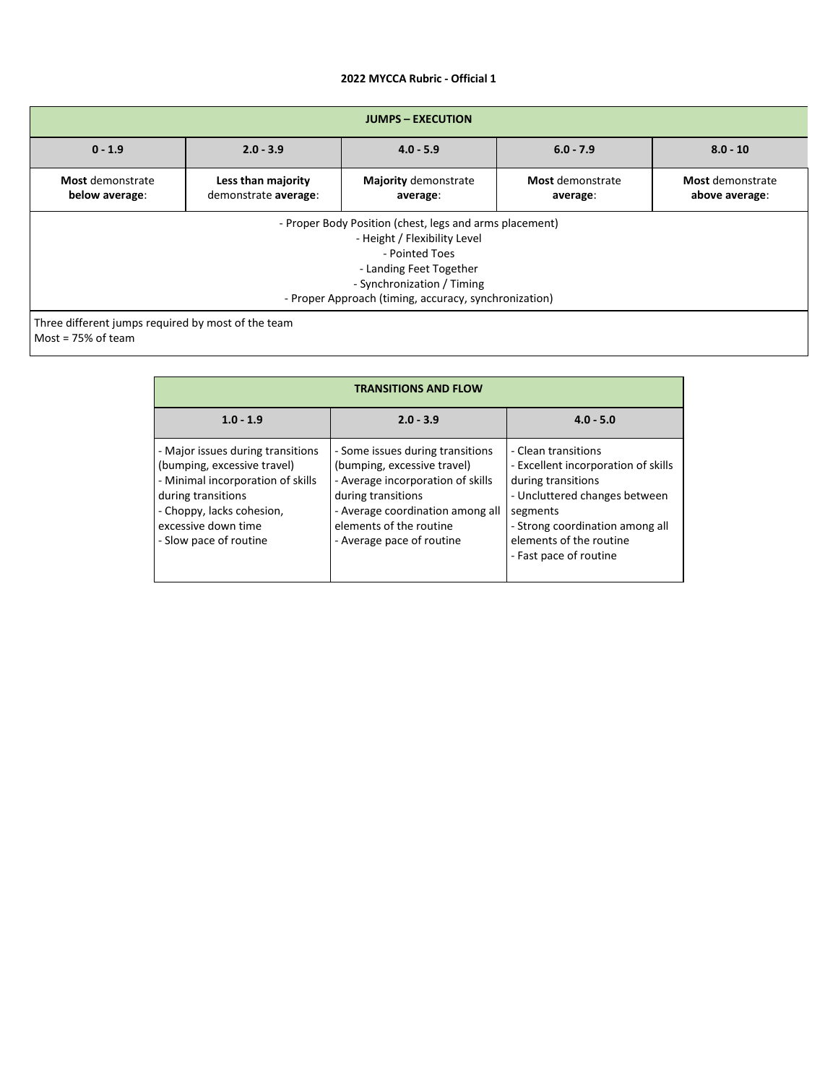| <b>JUMPS – EXECUTION</b>                  |                                                    |                                                                                                                                                                                                                             |                              |                                    |  |  |  |
|-------------------------------------------|----------------------------------------------------|-----------------------------------------------------------------------------------------------------------------------------------------------------------------------------------------------------------------------------|------------------------------|------------------------------------|--|--|--|
| $0 - 1.9$                                 | $2.0 - 3.9$                                        | $4.0 - 5.9$                                                                                                                                                                                                                 | $6.0 - 7.9$                  | $8.0 - 10$                         |  |  |  |
| <b>Most</b> demonstrate<br>below average: | Less than majority<br>demonstrate average:         | <b>Majority demonstrate</b><br>average:                                                                                                                                                                                     | Most demonstrate<br>average: | Most demonstrate<br>above average: |  |  |  |
|                                           |                                                    | - Proper Body Position (chest, legs and arms placement)<br>- Height / Flexibility Level<br>- Pointed Toes<br>- Landing Feet Together<br>- Synchronization / Timing<br>- Proper Approach (timing, accuracy, synchronization) |                              |                                    |  |  |  |
| Most = 75% of team                        | Three different jumps required by most of the team |                                                                                                                                                                                                                             |                              |                                    |  |  |  |

| <b>TRANSITIONS AND FLOW</b>                                                                                                                                                                               |                                                                                                                                                                                                                        |                                                                                                                                                                                                                       |  |  |  |
|-----------------------------------------------------------------------------------------------------------------------------------------------------------------------------------------------------------|------------------------------------------------------------------------------------------------------------------------------------------------------------------------------------------------------------------------|-----------------------------------------------------------------------------------------------------------------------------------------------------------------------------------------------------------------------|--|--|--|
| $1.0 - 1.9$                                                                                                                                                                                               | $2.0 - 3.9$                                                                                                                                                                                                            | $4.0 - 5.0$                                                                                                                                                                                                           |  |  |  |
| - Major issues during transitions<br>(bumping, excessive travel)<br>- Minimal incorporation of skills<br>during transitions<br>- Choppy, lacks cohesion,<br>excessive down time<br>- Slow pace of routine | - Some issues during transitions<br>(bumping, excessive travel)<br>- Average incorporation of skills<br>during transitions<br>- Average coordination among all<br>elements of the routine<br>- Average pace of routine | - Clean transitions<br>- Excellent incorporation of skills<br>during transitions<br>- Uncluttered changes between<br>segments<br>- Strong coordination among all<br>elements of the routine<br>- Fast pace of routine |  |  |  |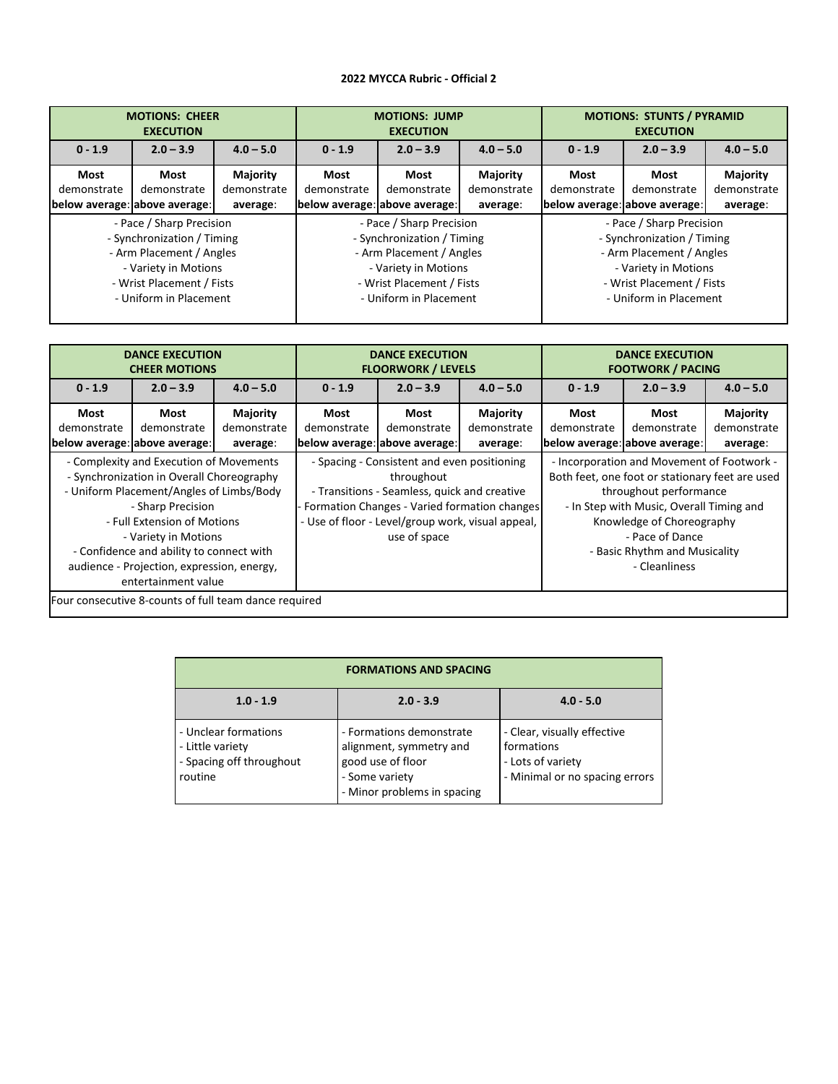|                               | <b>MOTIONS: CHEER</b><br><b>EXECUTION</b>                                                                                                                         |             | <b>MOTIONS: JUMP</b><br><b>EXECUTION</b>                                                                                                                          |             |                 | <b>MOTIONS: STUNTS / PYRAMID</b><br><b>EXECUTION</b>                                                                                                              |             |                 |
|-------------------------------|-------------------------------------------------------------------------------------------------------------------------------------------------------------------|-------------|-------------------------------------------------------------------------------------------------------------------------------------------------------------------|-------------|-----------------|-------------------------------------------------------------------------------------------------------------------------------------------------------------------|-------------|-----------------|
| $0 - 1.9$                     | $2.0 - 3.9$                                                                                                                                                       | $4.0 - 5.0$ | $4.0 - 5.0$<br>$0 - 1.9$<br>$2.0 - 3.9$                                                                                                                           |             |                 | $0 - 1.9$                                                                                                                                                         | $2.0 - 3.9$ | $4.0 - 5.0$     |
| Most                          | <b>Most</b>                                                                                                                                                       | Majority    | Most                                                                                                                                                              | <b>Most</b> | <b>Majority</b> | <b>Most</b>                                                                                                                                                       | Most        | <b>Majority</b> |
| demonstrate                   | demonstrate                                                                                                                                                       | demonstrate | demonstrate                                                                                                                                                       | demonstrate | demonstrate     | demonstrate                                                                                                                                                       | demonstrate | demonstrate     |
| below average: above average: |                                                                                                                                                                   | average:    | below average: above average:                                                                                                                                     |             | average:        | below average: above average:                                                                                                                                     |             | average:        |
|                               | - Pace / Sharp Precision<br>- Synchronization / Timing<br>- Arm Placement / Angles<br>- Variety in Motions<br>- Wrist Placement / Fists<br>- Uniform in Placement |             | - Pace / Sharp Precision<br>- Synchronization / Timing<br>- Arm Placement / Angles<br>- Variety in Motions<br>- Wrist Placement / Fists<br>- Uniform in Placement |             |                 | - Pace / Sharp Precision<br>- Synchronization / Timing<br>- Arm Placement / Angles<br>- Variety in Motions<br>- Wrist Placement / Fists<br>- Uniform in Placement |             |                 |

|                                                       | <b>DANCE EXECUTION</b><br><b>CHEER MOTIONS</b>                                                                                                                                                                                                                                                                                |                                     |                                                             | <b>DANCE EXECUTION</b><br><b>FLOORWORK / LEVELS</b>                                                                                                                                                                              |                                     |                                                                                                                                                                                                                                                                                                        | <b>DANCE EXECUTION</b><br><b>FOOTWORK / PACING</b> |                                     |  |
|-------------------------------------------------------|-------------------------------------------------------------------------------------------------------------------------------------------------------------------------------------------------------------------------------------------------------------------------------------------------------------------------------|-------------------------------------|-------------------------------------------------------------|----------------------------------------------------------------------------------------------------------------------------------------------------------------------------------------------------------------------------------|-------------------------------------|--------------------------------------------------------------------------------------------------------------------------------------------------------------------------------------------------------------------------------------------------------------------------------------------------------|----------------------------------------------------|-------------------------------------|--|
| $0 - 1.9$                                             | $2.0 - 3.9$                                                                                                                                                                                                                                                                                                                   | $4.0 - 5.0$                         | $4.0 - 5.0$<br>$0 - 1.9$<br>$2.0 - 3.9$                     |                                                                                                                                                                                                                                  | $0 - 1.9$                           | $2.0 - 3.9$                                                                                                                                                                                                                                                                                            | $4.0 - 5.0$                                        |                                     |  |
| Most<br>demonstrate<br>below average: above average:  | Most<br>demonstrate                                                                                                                                                                                                                                                                                                           | Majority<br>demonstrate<br>average: | <b>Most</b><br>demonstrate<br>below average: above average: | Most<br>demonstrate                                                                                                                                                                                                              | Majority<br>demonstrate<br>average: | Most<br>demonstrate                                                                                                                                                                                                                                                                                    | Most<br>demonstrate                                | Majority<br>demonstrate<br>average: |  |
|                                                       | - Complexity and Execution of Movements<br>- Synchronization in Overall Choreography<br>- Uniform Placement/Angles of Limbs/Body<br>- Sharp Precision<br>- Full Extension of Motions<br>- Variety in Motions<br>- Confidence and ability to connect with<br>audience - Projection, expression, energy,<br>entertainment value |                                     |                                                             | - Spacing - Consistent and even positioning<br>throughout<br>- Transitions - Seamless, quick and creative<br>- Formation Changes - Varied formation changes<br>- Use of floor - Level/group work, visual appeal,<br>use of space |                                     | below average: above average:<br>- Incorporation and Movement of Footwork -<br>Both feet, one foot or stationary feet are used<br>throughout performance<br>- In Step with Music, Overall Timing and<br>Knowledge of Choreography<br>- Pace of Dance<br>- Basic Rhythm and Musicality<br>- Cleanliness |                                                    |                                     |  |
| Four consecutive 8-counts of full team dance required |                                                                                                                                                                                                                                                                                                                               |                                     |                                                             |                                                                                                                                                                                                                                  |                                     |                                                                                                                                                                                                                                                                                                        |                                                    |                                     |  |

| <b>FORMATIONS AND SPACING</b>                                                   |                                                                                                                           |                                                                                                  |  |  |  |
|---------------------------------------------------------------------------------|---------------------------------------------------------------------------------------------------------------------------|--------------------------------------------------------------------------------------------------|--|--|--|
| $1.0 - 1.9$                                                                     | $2.0 - 3.9$                                                                                                               | $4.0 - 5.0$                                                                                      |  |  |  |
| - Unclear formations<br>- Little variety<br>- Spacing off throughout<br>routine | - Formations demonstrate<br>alignment, symmetry and<br>good use of floor<br>- Some variety<br>- Minor problems in spacing | - Clear, visually effective<br>formations<br>- Lots of variety<br>- Minimal or no spacing errors |  |  |  |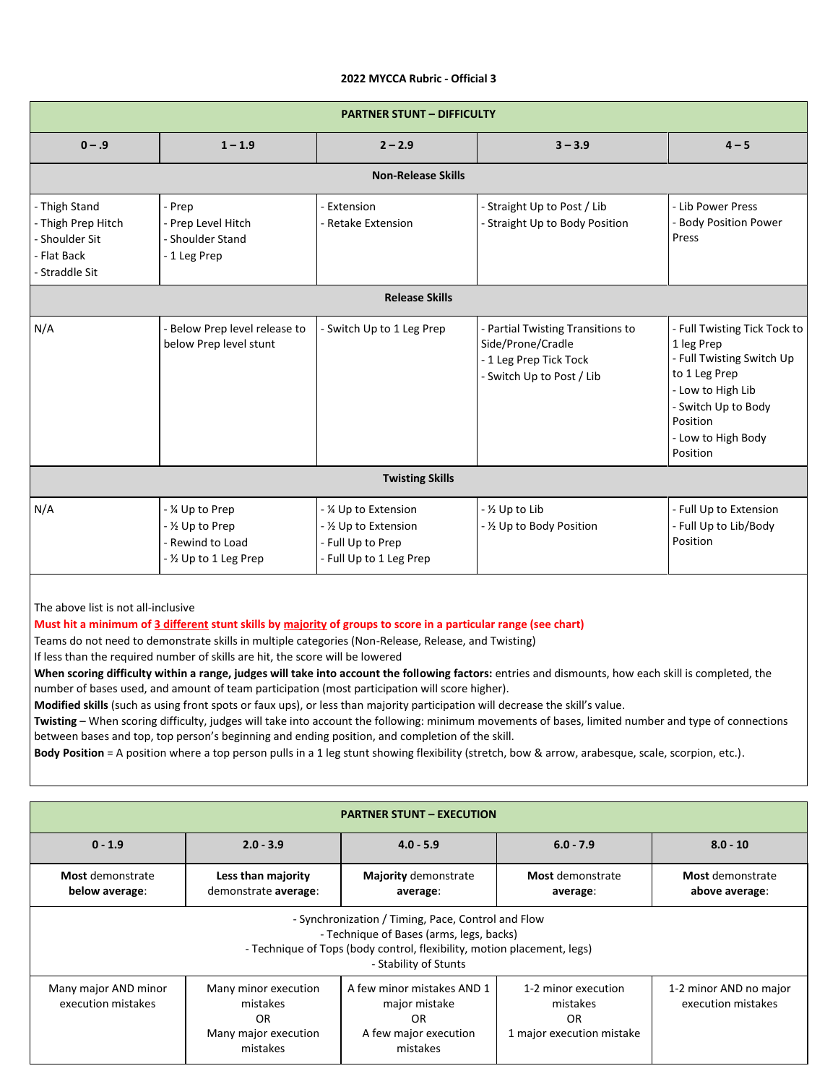|                                                                                        | <b>PARTNER STUNT - DIFFICULTY</b>                                                |                                                                                                                                                                                                                                                                                                                          |                                                                                                                                                      |                                                                                                                                                                                    |  |  |  |  |
|----------------------------------------------------------------------------------------|----------------------------------------------------------------------------------|--------------------------------------------------------------------------------------------------------------------------------------------------------------------------------------------------------------------------------------------------------------------------------------------------------------------------|------------------------------------------------------------------------------------------------------------------------------------------------------|------------------------------------------------------------------------------------------------------------------------------------------------------------------------------------|--|--|--|--|
| $0 - .9$                                                                               | $1 - 1.9$                                                                        | $2 - 2.9$                                                                                                                                                                                                                                                                                                                | $3 - 3.9$                                                                                                                                            | $4 - 5$                                                                                                                                                                            |  |  |  |  |
|                                                                                        |                                                                                  | <b>Non-Release Skills</b>                                                                                                                                                                                                                                                                                                |                                                                                                                                                      |                                                                                                                                                                                    |  |  |  |  |
| - Thigh Stand<br>- Thigh Prep Hitch<br>- Shoulder Sit<br>- Flat Back<br>- Straddle Sit | - Prep<br>- Prep Level Hitch<br>- Shoulder Stand<br>- 1 Leg Prep                 | Extension<br><b>Retake Extension</b>                                                                                                                                                                                                                                                                                     | - Straight Up to Post / Lib<br>- Straight Up to Body Position                                                                                        | - Lib Power Press<br><b>Body Position Power</b><br>Press                                                                                                                           |  |  |  |  |
|                                                                                        |                                                                                  | <b>Release Skills</b>                                                                                                                                                                                                                                                                                                    |                                                                                                                                                      |                                                                                                                                                                                    |  |  |  |  |
| N/A                                                                                    | - Below Prep level release to<br>below Prep level stunt                          | - Switch Up to 1 Leg Prep                                                                                                                                                                                                                                                                                                | - Partial Twisting Transitions to<br>Side/Prone/Cradle<br>- 1 Leg Prep Tick Tock<br>- Switch Up to Post / Lib                                        | - Full Twisting Tick Tock to<br>1 leg Prep<br>- Full Twisting Switch Up<br>to 1 Leg Prep<br>- Low to High Lib<br>- Switch Up to Body<br>Position<br>- Low to High Body<br>Position |  |  |  |  |
|                                                                                        |                                                                                  | <b>Twisting Skills</b>                                                                                                                                                                                                                                                                                                   |                                                                                                                                                      |                                                                                                                                                                                    |  |  |  |  |
| N/A                                                                                    | - ¼ Up to Prep<br>- 1/2 Up to Prep<br>- Rewind to Load<br>- 1/2 Up to 1 Leg Prep | - 1⁄4 Up to Extension<br>- 1/2 Up to Extension<br>- Full Up to Prep<br>- Full Up to 1 Leg Prep                                                                                                                                                                                                                           | - 1/2 Up to Lib<br>- 1/2 Up to Body Position                                                                                                         | - Full Up to Extension<br>- Full Up to Lib/Body<br>Position                                                                                                                        |  |  |  |  |
| The above list is not all-inclusive                                                    | If less than the required number of skills are hit, the score will be lowered    | Must hit a minimum of 3 different stunt skills by majority of groups to score in a particular range (see chart)<br>Teams do not need to demonstrate skills in multiple categories (Non-Release, Release, and Twisting)<br>number of bases used, and amount of team participation (most participation will score higher). | When scoring difficulty within a range, judges will take into account the following factors: entries and dismounts, how each skill is completed, the |                                                                                                                                                                                    |  |  |  |  |

**Modified skills** (such as using front spots or faux ups), or less than majority participation will decrease the skill's value.

**Twisting** – When scoring difficulty, judges will take into account the following: minimum movements of bases, limited number and type of connections between bases and top, top person's beginning and ending position, and completion of the skill.

**Body Position** = A position where a top person pulls in a 1 leg stunt showing flexibility (stretch, bow & arrow, arabesque, scale, scorpion, etc.).

|                                            | <b>PARTNER STUNT - EXECUTION</b>                                           |                                                                                                                                                                                                    |                                                                    |                                              |  |  |  |
|--------------------------------------------|----------------------------------------------------------------------------|----------------------------------------------------------------------------------------------------------------------------------------------------------------------------------------------------|--------------------------------------------------------------------|----------------------------------------------|--|--|--|
| $0 - 1.9$                                  | $2.0 - 3.9$                                                                | $4.0 - 5.9$                                                                                                                                                                                        | $6.0 - 7.9$                                                        | $8.0 - 10$                                   |  |  |  |
| Most demonstrate<br>below average:         | Less than majority<br>demonstrate average:                                 | Majority demonstrate<br>average:                                                                                                                                                                   | Most demonstrate<br>average:                                       | Most demonstrate<br>above average:           |  |  |  |
|                                            |                                                                            | - Synchronization / Timing, Pace, Control and Flow<br>- Technique of Bases (arms, legs, backs)<br>- Technique of Tops (body control, flexibility, motion placement, legs)<br>- Stability of Stunts |                                                                    |                                              |  |  |  |
| Many major AND minor<br>execution mistakes | Many minor execution<br>mistakes<br>OR<br>Many major execution<br>mistakes | A few minor mistakes AND 1<br>major mistake<br>OR<br>A few major execution<br>mistakes                                                                                                             | 1-2 minor execution<br>mistakes<br>OR<br>1 major execution mistake | 1-2 minor AND no major<br>execution mistakes |  |  |  |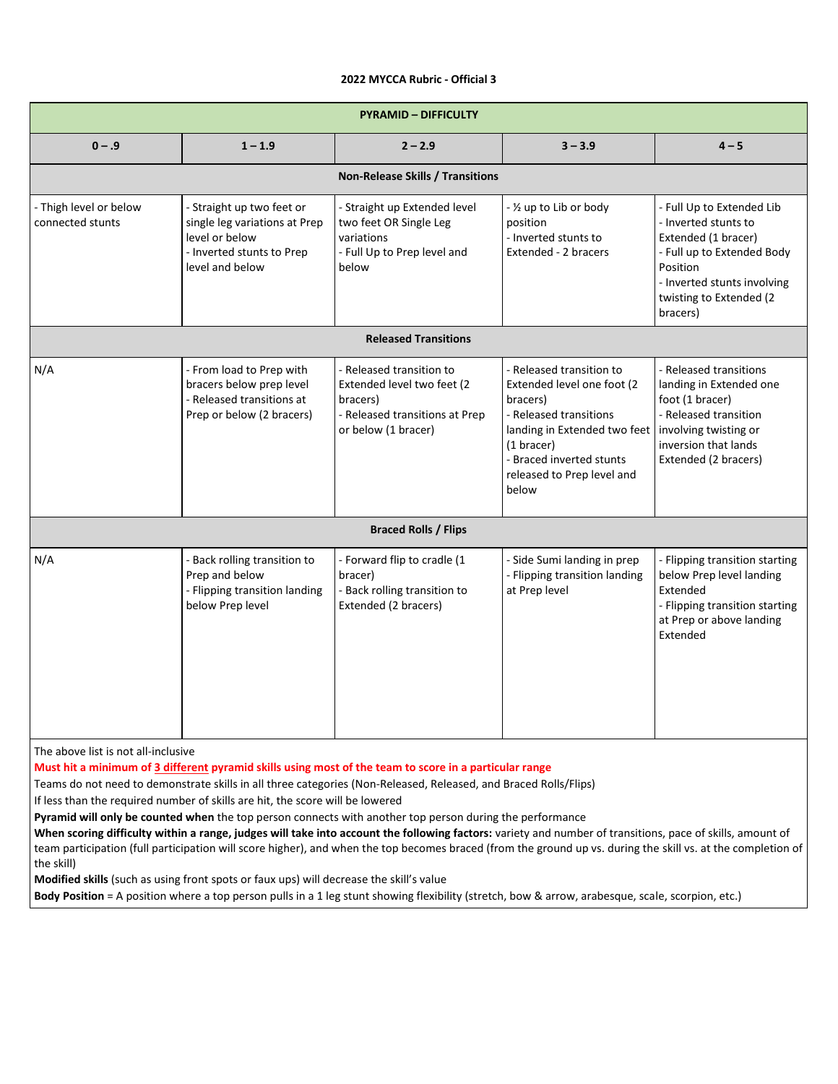|                                            |                                                                                                                              | <b>PYRAMID - DIFFICULTY</b>                                                                                                 |                                                                                                                                                                                                                                       |                                                                                                                                                                                          |
|--------------------------------------------|------------------------------------------------------------------------------------------------------------------------------|-----------------------------------------------------------------------------------------------------------------------------|---------------------------------------------------------------------------------------------------------------------------------------------------------------------------------------------------------------------------------------|------------------------------------------------------------------------------------------------------------------------------------------------------------------------------------------|
| $0 - .9$                                   | $1 - 1.9$                                                                                                                    | $2 - 2.9$                                                                                                                   | $3 - 3.9$                                                                                                                                                                                                                             | $4 - 5$                                                                                                                                                                                  |
|                                            |                                                                                                                              | Non-Release Skills / Transitions                                                                                            |                                                                                                                                                                                                                                       |                                                                                                                                                                                          |
| - Thigh level or below<br>connected stunts | - Straight up two feet or<br>single leg variations at Prep<br>level or below<br>- Inverted stunts to Prep<br>level and below | - Straight up Extended level<br>two feet OR Single Leg<br>variations<br>- Full Up to Prep level and<br>below                | - 1/2 up to Lib or body<br>position<br>- Inverted stunts to<br>Extended - 2 bracers                                                                                                                                                   | - Full Up to Extended Lib<br>- Inverted stunts to<br>Extended (1 bracer)<br>- Full up to Extended Body<br>Position<br>- Inverted stunts involving<br>twisting to Extended (2<br>bracers) |
|                                            |                                                                                                                              | <b>Released Transitions</b>                                                                                                 |                                                                                                                                                                                                                                       |                                                                                                                                                                                          |
| N/A                                        | - From load to Prep with<br>bracers below prep level<br>- Released transitions at<br>Prep or below (2 bracers)               | - Released transition to<br>Extended level two feet (2<br>bracers)<br>- Released transitions at Prep<br>or below (1 bracer) | - Released transition to<br>Extended level one foot (2<br>bracers)<br>- Released transitions<br>landing in Extended two feet   involving twisting or<br>(1 bracer)<br>- Braced inverted stunts<br>released to Prep level and<br>below | - Released transitions<br>landing in Extended one<br>foot (1 bracer)<br>- Released transition<br>inversion that lands<br>Extended (2 bracers)                                            |
|                                            |                                                                                                                              | <b>Braced Rolls / Flips</b>                                                                                                 |                                                                                                                                                                                                                                       |                                                                                                                                                                                          |
| N/A                                        | - Back rolling transition to<br>Prep and below<br>- Flipping transition landing<br>below Prep level                          | - Forward flip to cradle (1<br>bracer)<br>- Back rolling transition to<br>Extended (2 bracers)                              | - Side Sumi landing in prep<br>- Flipping transition landing<br>at Prep level                                                                                                                                                         | - Flipping transition starting<br>below Prep level landing<br>Extended<br>- Flipping transition starting<br>at Prep or above landing<br>Extended                                         |

The above list is not all-inclusive

**Must hit a minimum of 3 different pyramid skills using most of the team to score in a particular range**

Teams do not need to demonstrate skills in all three categories (Non-Released, Released, and Braced Rolls/Flips)

If less than the required number of skills are hit, the score will be lowered

**Pyramid will only be counted when** the top person connects with another top person during the performance

When scoring difficulty within a range, judges will take into account the following factors: variety and number of transitions, pace of skills, amount of team participation (full participation will score higher), and when the top becomes braced (from the ground up vs. during the skill vs. at the completion of the skill)

**Modified skills** (such as using front spots or faux ups) will decrease the skill's value

**Body Position** = A position where a top person pulls in a 1 leg stunt showing flexibility (stretch, bow & arrow, arabesque, scale, scorpion, etc.)